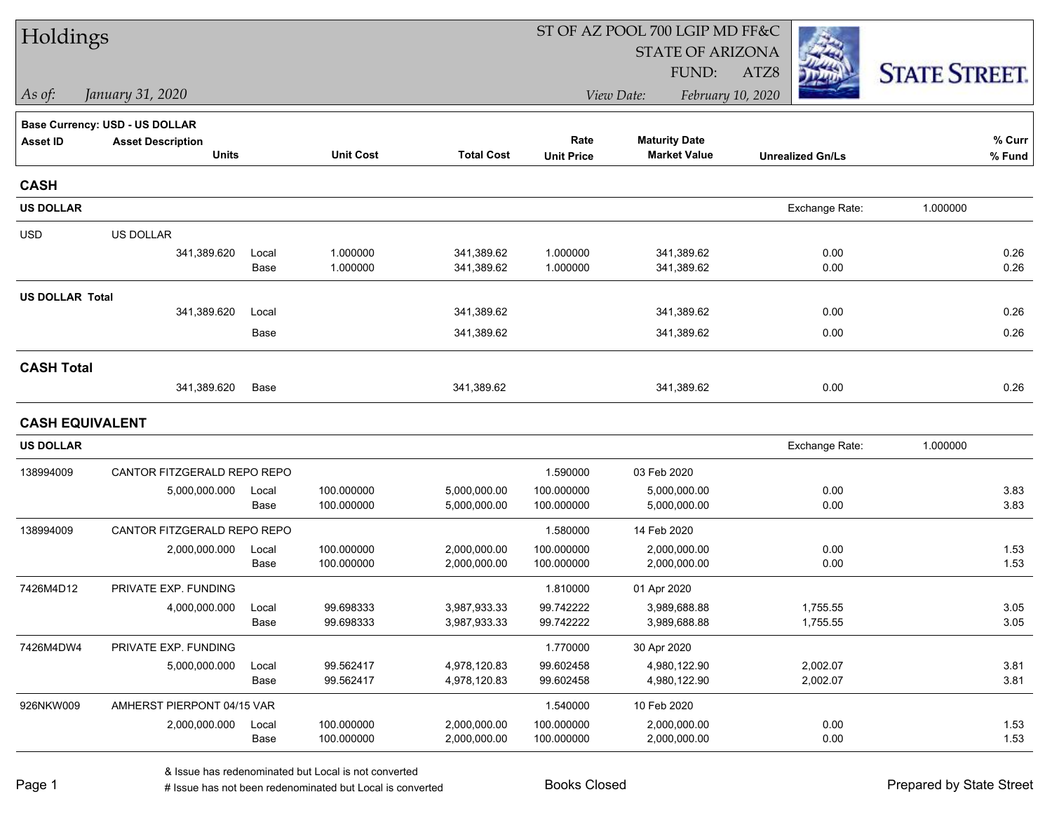| Holdings               |                                |       |                  |                   | ST OF AZ POOL 700 LGIP MD FF&C |                                 |                         |                      |  |
|------------------------|--------------------------------|-------|------------------|-------------------|--------------------------------|---------------------------------|-------------------------|----------------------|--|
|                        |                                |       |                  |                   |                                | <b>STATE OF ARIZONA</b>         |                         |                      |  |
|                        |                                |       |                  |                   |                                | FUND:                           | ATZ8                    | <b>STATE STREET.</b> |  |
| As of:                 | January 31, 2020               |       |                  |                   |                                | February 10, 2020<br>View Date: |                         |                      |  |
|                        | Base Currency: USD - US DOLLAR |       |                  |                   |                                |                                 |                         |                      |  |
| <b>Asset ID</b>        | <b>Asset Description</b>       |       |                  |                   | Rate                           | <b>Maturity Date</b>            |                         | % Curr               |  |
|                        | <b>Units</b>                   |       | <b>Unit Cost</b> | <b>Total Cost</b> | <b>Unit Price</b>              | <b>Market Value</b>             | <b>Unrealized Gn/Ls</b> | $%$ Fund             |  |
| <b>CASH</b>            |                                |       |                  |                   |                                |                                 |                         |                      |  |
| <b>US DOLLAR</b>       |                                |       |                  |                   |                                |                                 | Exchange Rate:          | 1.000000             |  |
| <b>USD</b>             | US DOLLAR                      |       |                  |                   |                                |                                 |                         |                      |  |
|                        | 341,389.620                    | Local | 1.000000         | 341,389.62        | 1.000000                       | 341,389.62                      | 0.00                    | 0.26                 |  |
|                        |                                | Base  | 1.000000         | 341,389.62        | 1.000000                       | 341,389.62                      | 0.00                    | 0.26                 |  |
| <b>US DOLLAR Total</b> |                                |       |                  |                   |                                |                                 |                         |                      |  |
|                        | 341,389.620                    | Local |                  | 341,389.62        |                                | 341,389.62                      | 0.00                    | 0.26                 |  |
|                        |                                | Base  |                  | 341,389.62        |                                | 341,389.62                      | 0.00                    | 0.26                 |  |
| <b>CASH Total</b>      |                                |       |                  |                   |                                |                                 |                         |                      |  |
|                        | 341,389.620                    | Base  |                  | 341,389.62        |                                | 341,389.62                      | 0.00                    | 0.26                 |  |
|                        | <b>CASH EQUIVALENT</b>         |       |                  |                   |                                |                                 |                         |                      |  |
| <b>US DOLLAR</b>       |                                |       |                  |                   |                                |                                 | Exchange Rate:          | 1.000000             |  |
| 138994009              | CANTOR FITZGERALD REPO REPO    |       |                  |                   | 1.590000                       | 03 Feb 2020                     |                         |                      |  |
|                        | 5,000,000.000                  | Local | 100.000000       | 5,000,000.00      | 100.000000                     | 5,000,000.00                    | 0.00                    | 3.83                 |  |
|                        |                                | Base  | 100.000000       | 5,000,000.00      | 100.000000                     | 5,000,000.00                    | 0.00                    | 3.83                 |  |
| 138994009              | CANTOR FITZGERALD REPO REPO    |       |                  |                   | 1.580000                       | 14 Feb 2020                     |                         |                      |  |
|                        | 2,000,000.000                  | Local | 100.000000       | 2,000,000.00      | 100.000000                     | 2,000,000.00                    | 0.00                    | 1.53                 |  |
|                        |                                | Base  | 100.000000       | 2,000,000.00      | 100.000000                     | 2,000,000.00                    | 0.00                    | 1.53                 |  |
| 7426M4D12              | PRIVATE EXP. FUNDING           |       |                  |                   | 1.810000                       | 01 Apr 2020                     |                         |                      |  |
|                        | 4,000,000.000                  | Local | 99.698333        | 3,987,933.33      | 99.742222                      | 3,989,688.88                    | 1,755.55                | 3.05                 |  |
|                        |                                | Base  | 99.698333        | 3,987,933.33      | 99.742222                      | 3,989,688.88                    | 1,755.55                | 3.05                 |  |
| 7426M4DW4              | PRIVATE EXP. FUNDING           |       |                  |                   | 1.770000                       | 30 Apr 2020                     |                         |                      |  |
|                        | 5,000,000.000                  | Local | 99.562417        | 4,978,120.83      | 99.602458                      | 4,980,122.90                    | 2,002.07                | 3.81                 |  |
|                        |                                | Base  | 99.562417        | 4,978,120.83      | 99.602458                      | 4,980,122.90                    | 2,002.07                | 3.81                 |  |
| 926NKW009              | AMHERST PIERPONT 04/15 VAR     |       |                  |                   | 1.540000                       | 10 Feb 2020                     |                         |                      |  |
|                        | 2,000,000.000                  | Local | 100.000000       | 2,000,000.00      | 100.000000                     | 2,000,000.00                    | 0.00                    | 1.53                 |  |
|                        |                                | Base  | 100.000000       | 2,000,000.00      | 100.000000                     | 2,000,000.00                    | 0.00                    | 1.53                 |  |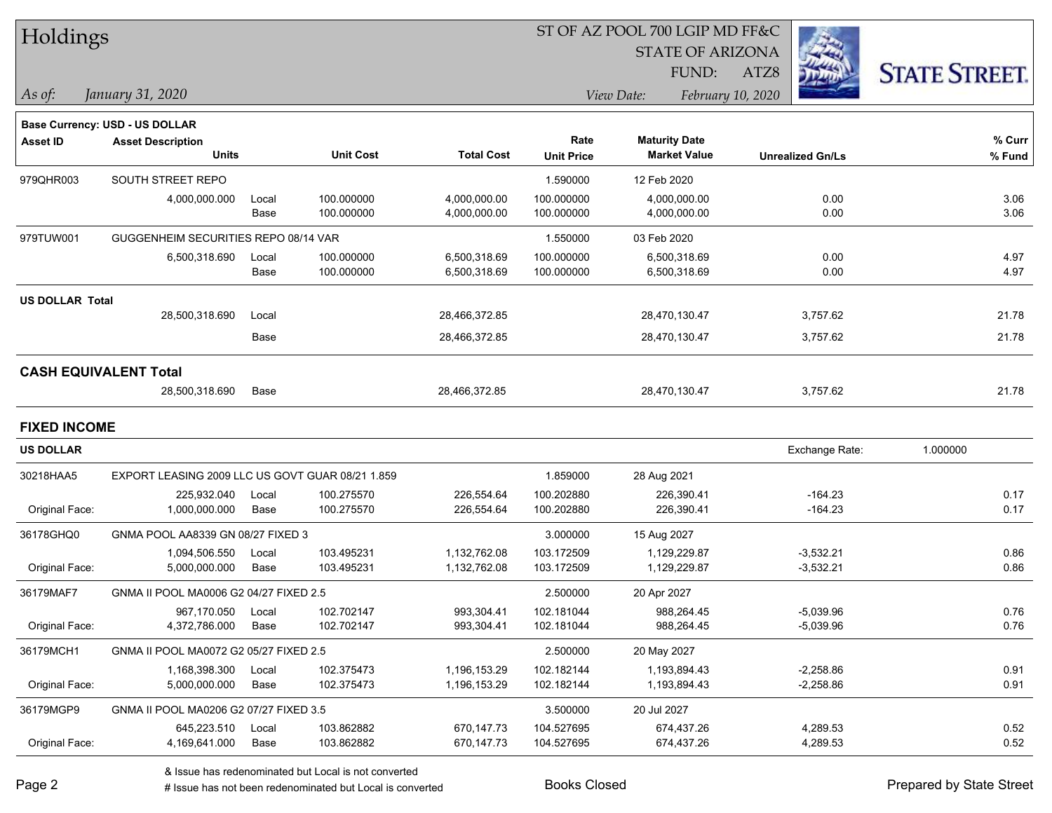|  | <b>Holdings</b> |
|--|-----------------|
|--|-----------------|

STATE OF ARIZONA

ATZ8



*As of: View Date: February 10, 2020* FUND:

| As of: | January 31, 2020 |  |
|--------|------------------|--|
|        |                  |  |

|                        | <b>Base Currency: USD - US DOLLAR</b>            |       |                  |                   |                   |                      |                         |          |
|------------------------|--------------------------------------------------|-------|------------------|-------------------|-------------------|----------------------|-------------------------|----------|
| <b>Asset ID</b>        | <b>Asset Description</b>                         |       |                  |                   | Rate              | <b>Maturity Date</b> |                         | % Curr   |
|                        | <b>Units</b>                                     |       | <b>Unit Cost</b> | <b>Total Cost</b> | <b>Unit Price</b> | <b>Market Value</b>  | <b>Unrealized Gn/Ls</b> | % Fund   |
| 979QHR003              | SOUTH STREET REPO                                |       |                  |                   | 1.590000          | 12 Feb 2020          |                         |          |
|                        | 4,000,000.000                                    | Local | 100.000000       | 4,000,000.00      | 100.000000        | 4,000,000.00         | 0.00                    | 3.06     |
|                        |                                                  | Base  | 100.000000       | 4,000,000.00      | 100.000000        | 4,000,000.00         | 0.00                    | 3.06     |
| 979TUW001              | GUGGENHEIM SECURITIES REPO 08/14 VAR             |       |                  |                   | 1.550000          | 03 Feb 2020          |                         |          |
|                        | 6,500,318.690                                    | Local | 100.000000       | 6,500,318.69      | 100.000000        | 6,500,318.69         | 0.00                    | 4.97     |
|                        |                                                  | Base  | 100.000000       | 6,500,318.69      | 100.000000        | 6,500,318.69         | 0.00                    | 4.97     |
| <b>US DOLLAR Total</b> |                                                  |       |                  |                   |                   |                      |                         |          |
|                        | 28,500,318.690                                   | Local |                  | 28,466,372.85     |                   | 28,470,130.47        | 3,757.62                | 21.78    |
|                        |                                                  | Base  |                  | 28,466,372.85     |                   | 28,470,130.47        | 3,757.62                | 21.78    |
|                        | <b>CASH EQUIVALENT Total</b>                     |       |                  |                   |                   |                      |                         |          |
|                        | 28,500,318.690                                   | Base  |                  | 28,466,372.85     |                   | 28,470,130.47        | 3,757.62                | 21.78    |
| <b>FIXED INCOME</b>    |                                                  |       |                  |                   |                   |                      |                         |          |
| <b>US DOLLAR</b>       |                                                  |       |                  |                   |                   |                      | Exchange Rate:          | 1.000000 |
| 30218HAA5              | EXPORT LEASING 2009 LLC US GOVT GUAR 08/21 1.859 |       |                  |                   | 1.859000          | 28 Aug 2021          |                         |          |
|                        | 225,932.040                                      | Local | 100.275570       | 226,554.64        | 100.202880        | 226,390.41           | $-164.23$               | 0.17     |
| Original Face:         | 1,000,000.000                                    | Base  | 100.275570       | 226,554.64        | 100.202880        | 226,390.41           | $-164.23$               | 0.17     |
| 36178GHQ0              | GNMA POOL AA8339 GN 08/27 FIXED 3                |       |                  |                   | 3.000000          | 15 Aug 2027          |                         |          |
|                        | 1,094,506.550                                    | Local | 103.495231       | 1,132,762.08      | 103.172509        | 1,129,229.87         | $-3,532.21$             | 0.86     |
| Original Face:         | 5,000,000.000                                    | Base  | 103.495231       | 1,132,762.08      | 103.172509        | 1,129,229.87         | $-3,532.21$             | 0.86     |
| 36179MAF7              | GNMA II POOL MA0006 G2 04/27 FIXED 2.5           |       |                  |                   | 2.500000          | 20 Apr 2027          |                         |          |
|                        | 967,170.050                                      | Local | 102.702147       | 993,304.41        | 102.181044        | 988.264.45           | $-5,039.96$             | 0.76     |
| Original Face:         | 4,372,786.000                                    | Base  | 102.702147       | 993,304.41        | 102.181044        | 988,264.45           | $-5,039.96$             | 0.76     |
| 36179MCH1              | GNMA II POOL MA0072 G2 05/27 FIXED 2.5           |       |                  |                   | 2.500000          | 20 May 2027          |                         |          |
|                        | 1,168,398.300                                    | Local | 102.375473       | 1,196,153.29      | 102.182144        | 1,193,894.43         | $-2,258.86$             | 0.91     |
| Original Face:         | 5,000,000.000                                    | Base  | 102.375473       | 1,196,153.29      | 102.182144        | 1,193,894.43         | $-2,258.86$             | 0.91     |
| 36179MGP9              | GNMA II POOL MA0206 G2 07/27 FIXED 3.5           |       |                  |                   | 3.500000          | 20 Jul 2027          |                         |          |
|                        | 645,223.510                                      | Local | 103.862882       | 670,147.73        | 104.527695        | 674,437.26           | 4,289.53                | 0.52     |
| Original Face:         | 4,169,641.000                                    | Base  | 103.862882       | 670,147.73        | 104.527695        | 674,437.26           | 4,289.53                | 0.52     |

& Issue has redenominated but Local is not converted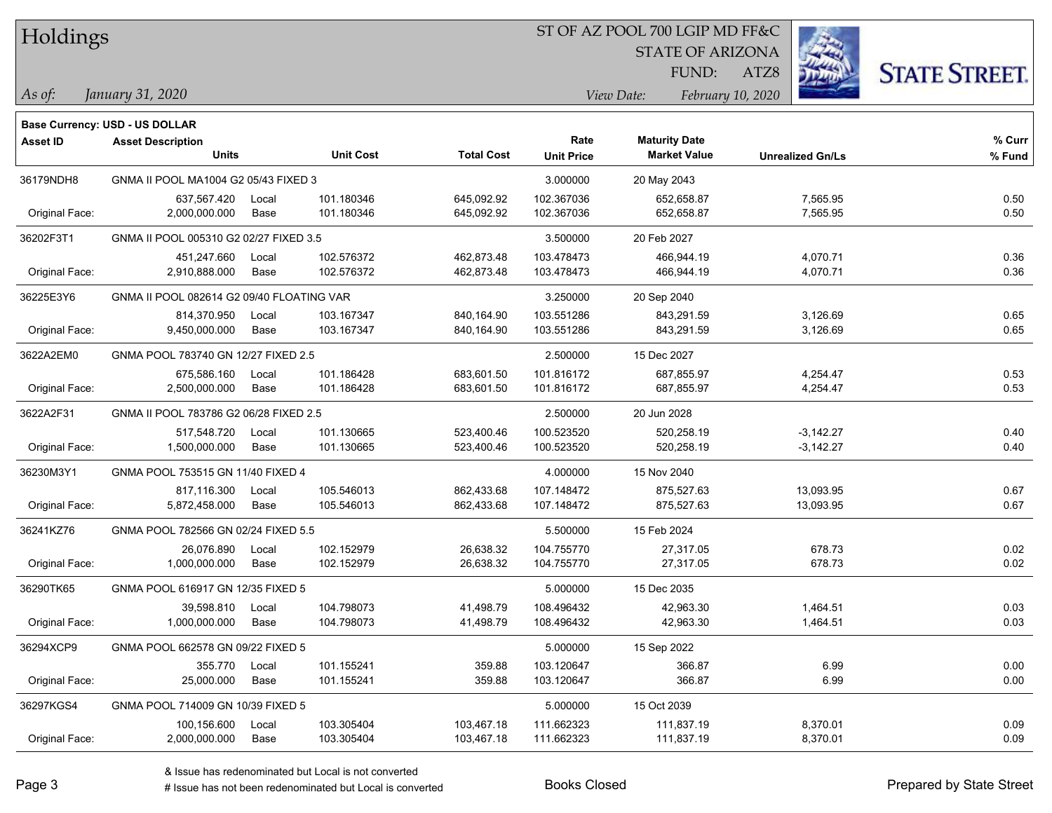| Holdings |
|----------|
|          |

STATE OF ARIZONA

ATZ8



*As of: View Date: February 10, 2020* FUND:

| As of: | January 31, 2020 |  |
|--------|------------------|--|
|        |                  |  |

|                 | <b>Base Currency: USD - US DOLLAR</b>     |       |                  |                   |                   |                      |                         |          |
|-----------------|-------------------------------------------|-------|------------------|-------------------|-------------------|----------------------|-------------------------|----------|
| <b>Asset ID</b> | <b>Asset Description</b>                  |       |                  |                   | Rate              | <b>Maturity Date</b> |                         | % Curr   |
|                 | <b>Units</b>                              |       | <b>Unit Cost</b> | <b>Total Cost</b> | <b>Unit Price</b> | <b>Market Value</b>  | <b>Unrealized Gn/Ls</b> | % Fund   |
| 36179NDH8       | GNMA II POOL MA1004 G2 05/43 FIXED 3      |       |                  |                   | 3.000000          | 20 May 2043          |                         |          |
|                 | 637,567.420                               | Local | 101.180346       | 645,092.92        | 102.367036        | 652,658.87           | 7,565.95                | 0.50     |
| Original Face:  | 2,000,000.000                             | Base  | 101.180346       | 645,092.92        | 102.367036        | 652,658.87           | 7,565.95                | 0.50     |
| 36202F3T1       | GNMA II POOL 005310 G2 02/27 FIXED 3.5    |       |                  |                   | 3.500000          | 20 Feb 2027          |                         |          |
|                 | 451,247.660                               | Local | 102.576372       | 462,873.48        | 103.478473        | 466,944.19           | 4,070.71                | 0.36     |
| Original Face:  | 2,910,888.000                             | Base  | 102.576372       | 462,873.48        | 103.478473        | 466,944.19           | 4,070.71                | 0.36     |
| 36225E3Y6       | GNMA II POOL 082614 G2 09/40 FLOATING VAR |       |                  |                   | 3.250000          | 20 Sep 2040          |                         |          |
|                 | 814,370.950                               | Local | 103.167347       | 840,164.90        | 103.551286        | 843,291.59           | 3,126.69                | 0.65     |
| Original Face:  | 9,450,000.000                             | Base  | 103.167347       | 840,164.90        | 103.551286        | 843,291.59           | 3,126.69                | 0.65     |
| 3622A2EM0       | GNMA POOL 783740 GN 12/27 FIXED 2.5       |       |                  |                   | 2.500000          | 15 Dec 2027          |                         |          |
|                 | 675,586.160                               | Local | 101.186428       | 683,601.50        | 101.816172        | 687,855.97           | 4,254.47                | 0.53     |
| Original Face:  | 2,500,000.000                             | Base  | 101.186428       | 683,601.50        | 101.816172        | 687,855.97           | 4,254.47                | 0.53     |
| 3622A2F31       | GNMA II POOL 783786 G2 06/28 FIXED 2.5    |       |                  |                   | 2.500000          | 20 Jun 2028          |                         |          |
|                 | 517,548.720                               | Local | 101.130665       | 523,400.46        | 100.523520        | 520,258.19           | $-3,142.27$             | 0.40     |
| Original Face:  | 1,500,000.000                             | Base  | 101.130665       | 523,400.46        | 100.523520        | 520,258.19           | $-3,142.27$             | 0.40     |
| 36230M3Y1       | GNMA POOL 753515 GN 11/40 FIXED 4         |       |                  |                   | 4.000000          | 15 Nov 2040          |                         |          |
|                 | 817,116.300                               | Local | 105.546013       | 862,433.68        | 107.148472        | 875,527.63           | 13,093.95               | 0.67     |
| Original Face:  | 5,872,458.000                             | Base  | 105.546013       | 862,433.68        | 107.148472        | 875,527.63           | 13,093.95               | 0.67     |
| 36241KZ76       | GNMA POOL 782566 GN 02/24 FIXED 5.5       |       |                  |                   | 5.500000          | 15 Feb 2024          |                         |          |
|                 | 26,076.890                                | Local | 102.152979       | 26,638.32         | 104.755770        | 27,317.05            | 678.73                  | 0.02     |
| Original Face:  | 1,000,000.000                             | Base  | 102.152979       | 26,638.32         | 104.755770        | 27,317.05            | 678.73                  | 0.02     |
| 36290TK65       | GNMA POOL 616917 GN 12/35 FIXED 5         |       |                  |                   | 5.000000          | 15 Dec 2035          |                         |          |
|                 | 39,598.810                                | Local | 104.798073       | 41,498.79         | 108.496432        | 42,963.30            | 1,464.51                | 0.03     |
| Original Face:  | 1,000,000.000                             | Base  | 104.798073       | 41,498.79         | 108.496432        | 42,963.30            | 1,464.51                | 0.03     |
| 36294XCP9       | GNMA POOL 662578 GN 09/22 FIXED 5         |       |                  |                   | 5.000000          | 15 Sep 2022          |                         |          |
|                 | 355.770                                   | Local | 101.155241       | 359.88            | 103.120647        | 366.87               | 6.99                    | 0.00     |
| Original Face:  | 25,000.000                                | Base  | 101.155241       | 359.88            | 103.120647        | 366.87               | 6.99                    | $0.00\,$ |
| 36297KGS4       | GNMA POOL 714009 GN 10/39 FIXED 5         |       |                  |                   | 5.000000          | 15 Oct 2039          |                         |          |
|                 | 100,156.600                               | Local | 103.305404       | 103,467.18        | 111.662323        | 111,837.19           | 8,370.01                | 0.09     |
| Original Face:  | 2,000,000.000                             | Base  | 103.305404       | 103,467.18        | 111.662323        | 111,837.19           | 8,370.01                | 0.09     |
|                 |                                           |       |                  |                   |                   |                      |                         |          |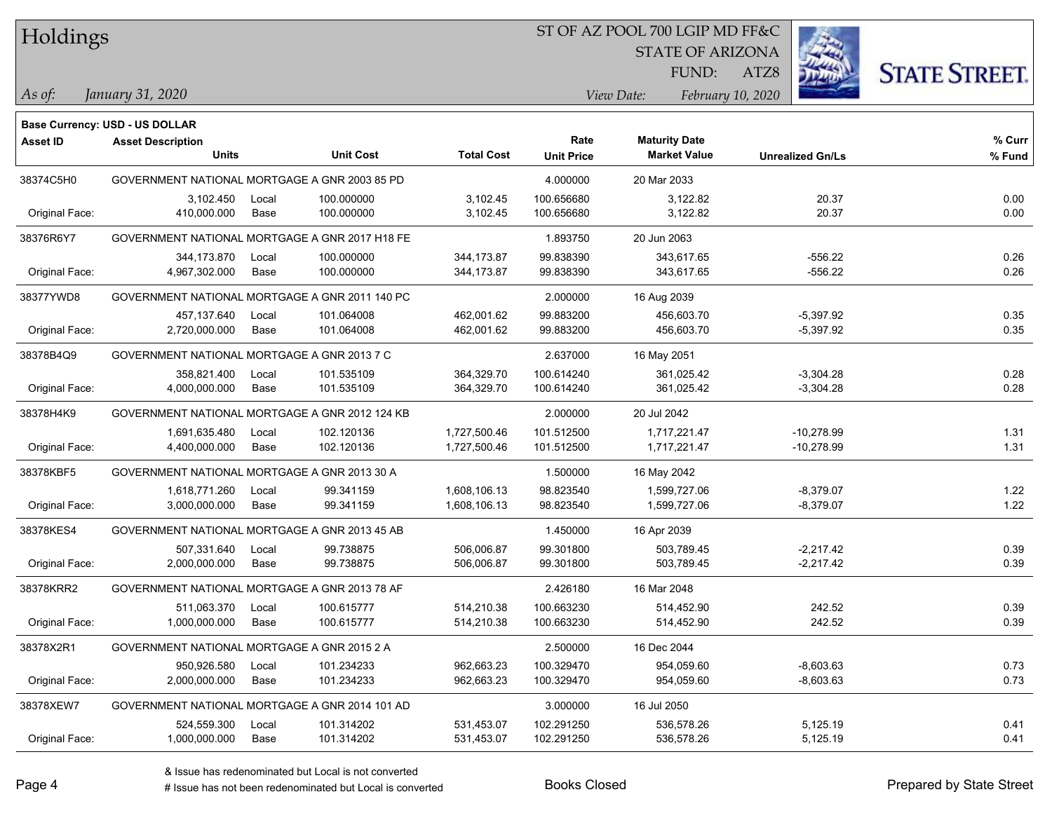#### ST OF AZ POOL 700 LGIP MD FF&C

STATE OF ARIZONA

ATZ8



**Base Currency: USD - US DOLLAR**

*January 31, 2020 As of: View Date: February 10, 2020* FUND:

| <b>Asset ID</b> | <b>Asset Description</b>                       |                  |                   | Rate              | <b>Maturity Date</b> |                         | % Curr |
|-----------------|------------------------------------------------|------------------|-------------------|-------------------|----------------------|-------------------------|--------|
|                 | <b>Units</b>                                   | <b>Unit Cost</b> | <b>Total Cost</b> | <b>Unit Price</b> | <b>Market Value</b>  | <b>Unrealized Gn/Ls</b> | % Fund |
| 38374C5H0       | GOVERNMENT NATIONAL MORTGAGE A GNR 2003 85 PD  |                  |                   | 4.000000          | 20 Mar 2033          |                         |        |
|                 | 3,102.450<br>Local                             | 100.000000       | 3,102.45          | 100.656680        | 3,122.82             | 20.37                   | 0.00   |
| Original Face:  | 410,000.000<br>Base                            | 100.000000       | 3,102.45          | 100.656680        | 3,122.82             | 20.37                   | 0.00   |
| 38376R6Y7       | GOVERNMENT NATIONAL MORTGAGE A GNR 2017 H18 FE |                  |                   | 1.893750          | 20 Jun 2063          |                         |        |
|                 | 344,173.870<br>Local                           | 100.000000       | 344,173.87        | 99.838390         | 343,617.65           | $-556.22$               | 0.26   |
| Original Face:  | 4,967,302.000<br>Base                          | 100.000000       | 344, 173.87       | 99.838390         | 343,617.65           | $-556.22$               | 0.26   |
| 38377YWD8       | GOVERNMENT NATIONAL MORTGAGE A GNR 2011 140 PC |                  |                   | 2.000000          | 16 Aug 2039          |                         |        |
|                 | 457,137.640<br>Local                           | 101.064008       | 462,001.62        | 99.883200         | 456,603.70           | $-5,397.92$             | 0.35   |
| Original Face:  | 2,720,000.000<br>Base                          | 101.064008       | 462,001.62        | 99.883200         | 456,603.70           | $-5,397.92$             | 0.35   |
| 38378B4Q9       | GOVERNMENT NATIONAL MORTGAGE A GNR 2013 7 C    |                  |                   | 2.637000          | 16 May 2051          |                         |        |
|                 | 358,821.400<br>Local                           | 101.535109       | 364,329.70        | 100.614240        | 361,025.42           | $-3,304.28$             | 0.28   |
| Original Face:  | 4,000,000.000<br>Base                          | 101.535109       | 364,329.70        | 100.614240        | 361,025.42           | $-3,304.28$             | 0.28   |
| 38378H4K9       | GOVERNMENT NATIONAL MORTGAGE A GNR 2012 124 KB |                  |                   | 2.000000          | 20 Jul 2042          |                         |        |
|                 | 1,691,635.480<br>Local                         | 102.120136       | 1,727,500.46      | 101.512500        | 1,717,221.47         | $-10,278.99$            | 1.31   |
| Original Face:  | 4,400,000.000<br>Base                          | 102.120136       | 1,727,500.46      | 101.512500        | 1,717,221.47         | $-10,278.99$            | 1.31   |
| 38378KBF5       | GOVERNMENT NATIONAL MORTGAGE A GNR 2013 30 A   |                  |                   | 1.500000          | 16 May 2042          |                         |        |
|                 | 1,618,771.260<br>Local                         | 99.341159        | 1,608,106.13      | 98.823540         | 1,599,727.06         | $-8,379.07$             | 1.22   |
| Original Face:  | 3,000,000.000<br>Base                          | 99.341159        | 1,608,106.13      | 98.823540         | 1,599,727.06         | $-8,379.07$             | $1.22$ |
| 38378KES4       | GOVERNMENT NATIONAL MORTGAGE A GNR 2013 45 AB  |                  |                   | 1.450000          | 16 Apr 2039          |                         |        |
|                 | 507,331.640<br>Local                           | 99.738875        | 506,006.87        | 99.301800         | 503,789.45           | $-2,217.42$             | 0.39   |
| Original Face:  | 2,000,000.000<br>Base                          | 99.738875        | 506,006.87        | 99.301800         | 503,789.45           | $-2,217.42$             | 0.39   |
| 38378KRR2       | GOVERNMENT NATIONAL MORTGAGE A GNR 2013 78 AF  |                  |                   | 2.426180          | 16 Mar 2048          |                         |        |
|                 | 511,063.370<br>Local                           | 100.615777       | 514,210.38        | 100.663230        | 514,452.90           | 242.52                  | 0.39   |
| Original Face:  | 1,000,000.000<br>Base                          | 100.615777       | 514,210.38        | 100.663230        | 514,452.90           | 242.52                  | 0.39   |
| 38378X2R1       | GOVERNMENT NATIONAL MORTGAGE A GNR 2015 2 A    |                  |                   | 2.500000          | 16 Dec 2044          |                         |        |
|                 | 950,926.580<br>Local                           | 101.234233       | 962,663.23        | 100.329470        | 954,059.60           | $-8,603.63$             | 0.73   |
| Original Face:  | 2,000,000.000<br>Base                          | 101.234233       | 962,663.23        | 100.329470        | 954,059.60           | $-8,603.63$             | 0.73   |
| 38378XEW7       | GOVERNMENT NATIONAL MORTGAGE A GNR 2014 101 AD |                  |                   | 3.000000          | 16 Jul 2050          |                         |        |
|                 | 524,559.300<br>Local                           | 101.314202       | 531,453.07        | 102.291250        | 536,578.26           | 5,125.19                | 0.41   |
| Original Face:  | 1,000,000.000<br>Base                          | 101.314202       | 531,453.07        | 102.291250        | 536,578.26           | 5,125.19                | 0.41   |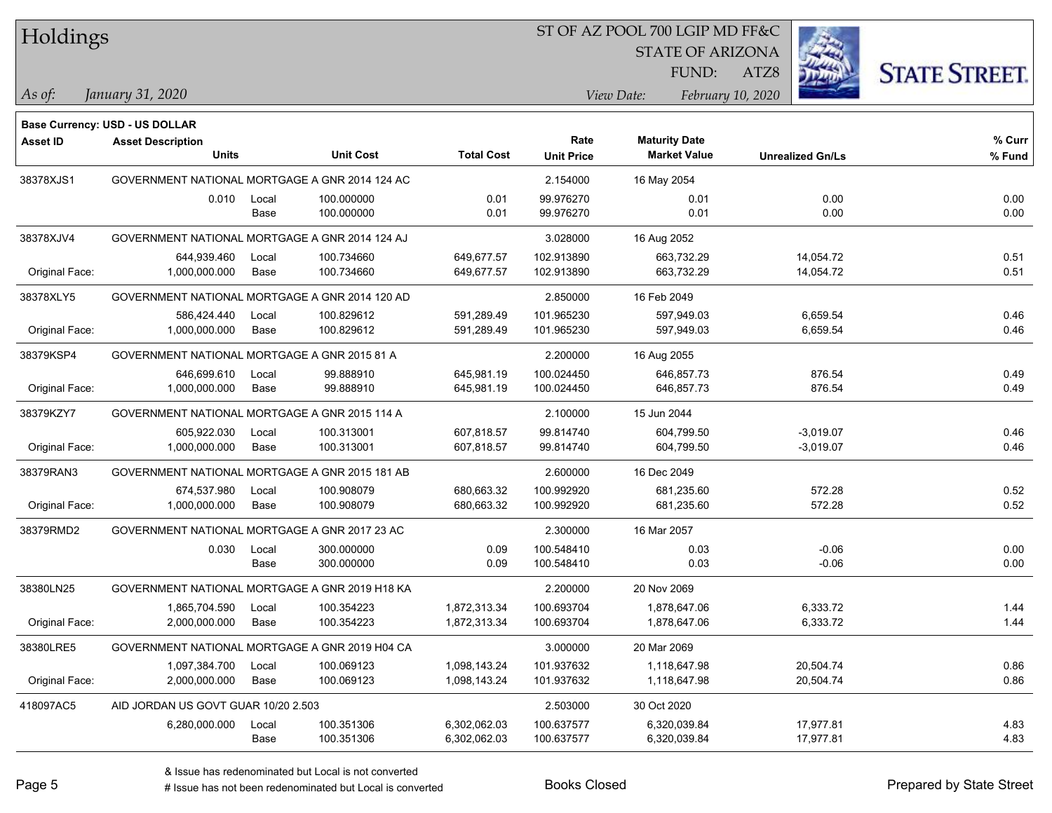#### ST OF AZ POOL 700 LGIP MD FF&C

STATE OF ARIZONA

ATZ8



*As of: View Date: February 10, 2020*

FUND:

| As of: | January 31, 2020 |  |
|--------|------------------|--|
|        |                  |  |

|                 | Base Currency: USD - US DOLLAR                 |       |                  |                   |                   |                      |                         |        |
|-----------------|------------------------------------------------|-------|------------------|-------------------|-------------------|----------------------|-------------------------|--------|
| <b>Asset ID</b> | <b>Asset Description</b>                       |       |                  |                   | Rate              | <b>Maturity Date</b> |                         | % Curr |
|                 | <b>Units</b>                                   |       | <b>Unit Cost</b> | <b>Total Cost</b> | <b>Unit Price</b> | <b>Market Value</b>  | <b>Unrealized Gn/Ls</b> | % Fund |
| 38378XJS1       | GOVERNMENT NATIONAL MORTGAGE A GNR 2014 124 AC |       |                  |                   | 2.154000          | 16 May 2054          |                         |        |
|                 | 0.010                                          | Local | 100.000000       | 0.01              | 99.976270         | 0.01                 | 0.00                    | 0.00   |
|                 |                                                | Base  | 100.000000       | 0.01              | 99.976270         | 0.01                 | 0.00                    | 0.00   |
| 38378XJV4       | GOVERNMENT NATIONAL MORTGAGE A GNR 2014 124 AJ |       |                  |                   | 3.028000          | 16 Aug 2052          |                         |        |
|                 | 644,939.460                                    | Local | 100.734660       | 649,677.57        | 102.913890        | 663,732.29           | 14,054.72               | 0.51   |
| Original Face:  | 1,000,000.000                                  | Base  | 100.734660       | 649,677.57        | 102.913890        | 663,732.29           | 14,054.72               | 0.51   |
| 38378XLY5       | GOVERNMENT NATIONAL MORTGAGE A GNR 2014 120 AD |       |                  |                   | 2.850000          | 16 Feb 2049          |                         |        |
|                 | 586,424.440                                    | Local | 100.829612       | 591,289.49        | 101.965230        | 597,949.03           | 6,659.54                | 0.46   |
| Original Face:  | 1,000,000.000                                  | Base  | 100.829612       | 591,289.49        | 101.965230        | 597,949.03           | 6,659.54                | 0.46   |
| 38379KSP4       | GOVERNMENT NATIONAL MORTGAGE A GNR 2015 81 A   |       |                  |                   | 2.200000          | 16 Aug 2055          |                         |        |
|                 | 646,699.610                                    | Local | 99.888910        | 645,981.19        | 100.024450        | 646,857.73           | 876.54                  | 0.49   |
| Original Face:  | 1,000,000.000                                  | Base  | 99.888910        | 645,981.19        | 100.024450        | 646,857.73           | 876.54                  | 0.49   |
| 38379KZY7       | GOVERNMENT NATIONAL MORTGAGE A GNR 2015 114 A  |       |                  |                   | 2.100000          | 15 Jun 2044          |                         |        |
|                 | 605,922.030                                    | Local | 100.313001       | 607,818.57        | 99.814740         | 604,799.50           | $-3,019.07$             | 0.46   |
| Original Face:  | 1,000,000.000                                  | Base  | 100.313001       | 607,818.57        | 99.814740         | 604,799.50           | $-3,019.07$             | 0.46   |
| 38379RAN3       | GOVERNMENT NATIONAL MORTGAGE A GNR 2015 181 AB |       |                  |                   | 2.600000          | 16 Dec 2049          |                         |        |
|                 | 674,537.980                                    | Local | 100.908079       | 680,663.32        | 100.992920        | 681,235.60           | 572.28                  | 0.52   |
| Original Face:  | 1,000,000.000                                  | Base  | 100.908079       | 680,663.32        | 100.992920        | 681,235.60           | 572.28                  | 0.52   |
| 38379RMD2       | GOVERNMENT NATIONAL MORTGAGE A GNR 2017 23 AC  |       |                  |                   | 2.300000          | 16 Mar 2057          |                         |        |
|                 | 0.030                                          | Local | 300.000000       | 0.09              | 100.548410        | 0.03                 | $-0.06$                 | 0.00   |
|                 |                                                | Base  | 300.000000       | 0.09              | 100.548410        | 0.03                 | $-0.06$                 | 0.00   |
| 38380LN25       | GOVERNMENT NATIONAL MORTGAGE A GNR 2019 H18 KA |       |                  |                   | 2.200000          | 20 Nov 2069          |                         |        |
|                 | 1,865,704.590                                  | Local | 100.354223       | 1,872,313.34      | 100.693704        | 1,878,647.06         | 6,333.72                | 1.44   |
| Original Face:  | 2,000,000.000                                  | Base  | 100.354223       | 1,872,313.34      | 100.693704        | 1,878,647.06         | 6,333.72                | 1.44   |
| 38380LRE5       | GOVERNMENT NATIONAL MORTGAGE A GNR 2019 H04 CA |       |                  |                   | 3.000000          | 20 Mar 2069          |                         |        |
|                 | 1,097,384.700                                  | Local | 100.069123       | 1,098,143.24      | 101.937632        | 1,118,647.98         | 20,504.74               | 0.86   |
| Original Face:  | 2,000,000.000                                  | Base  | 100.069123       | 1,098,143.24      | 101.937632        | 1,118,647.98         | 20,504.74               | 0.86   |
| 418097AC5       | AID JORDAN US GOVT GUAR 10/20 2.503            |       |                  |                   | 2.503000          | 30 Oct 2020          |                         |        |
|                 | 6,280,000.000                                  | Local | 100.351306       | 6,302,062.03      | 100.637577        | 6,320,039.84         | 17,977.81               | 4.83   |
|                 |                                                | Base  | 100.351306       | 6,302,062.03      | 100.637577        | 6,320,039.84         | 17,977.81               | 4.83   |
|                 |                                                |       |                  |                   |                   |                      |                         |        |

# Issue has not been redenominated but Local is converted Books Closed Prepared by State Street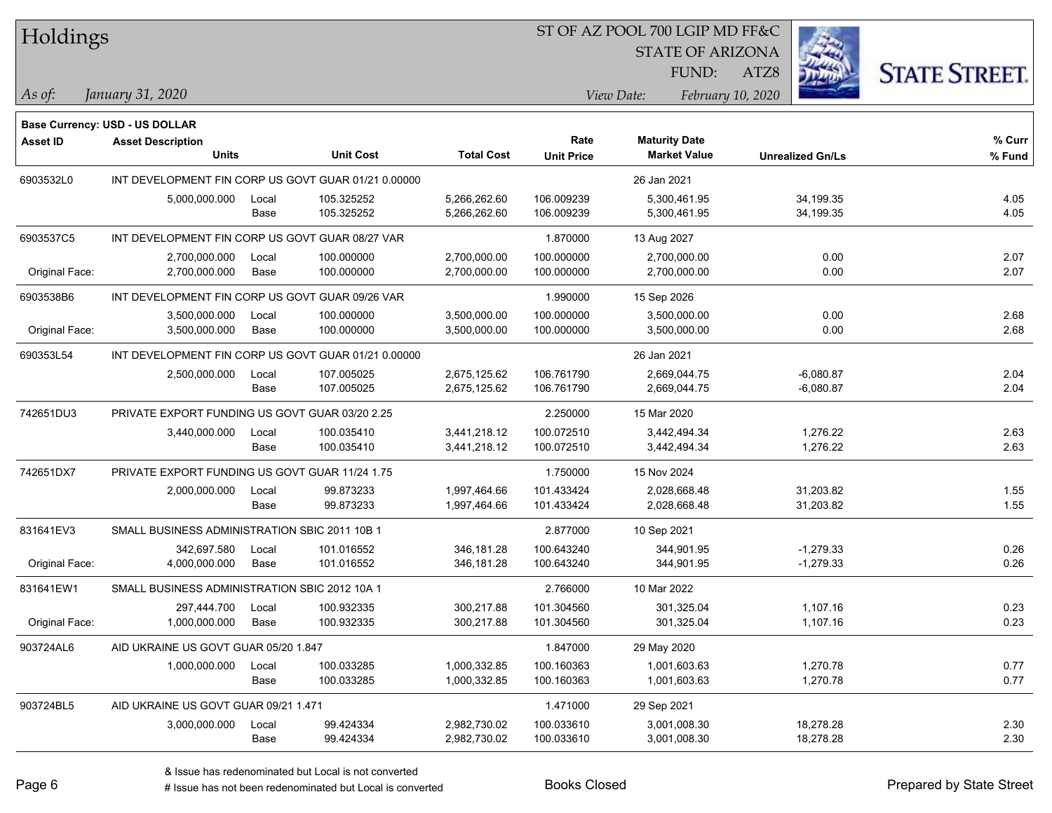#### ST OF AZ POOL 700 LGIP MD FF&C

STATE OF ARIZONA

FUND:

ATZ8



*As of: View Date: February 10, 2020*

| As of: | January 31, 2020 |  |
|--------|------------------|--|
|        |                  |  |

|                 | <b>Base Currency: USD - US DOLLAR</b>               |       |                  |                   |                   |                      |                         |        |
|-----------------|-----------------------------------------------------|-------|------------------|-------------------|-------------------|----------------------|-------------------------|--------|
| <b>Asset ID</b> | <b>Asset Description</b>                            |       |                  |                   | Rate              | <b>Maturity Date</b> |                         | % Curr |
|                 | <b>Units</b>                                        |       | <b>Unit Cost</b> | <b>Total Cost</b> | <b>Unit Price</b> | <b>Market Value</b>  | <b>Unrealized Gn/Ls</b> | % Fund |
| 6903532L0       | INT DEVELOPMENT FIN CORP US GOVT GUAR 01/21 0.00000 |       |                  |                   |                   | 26 Jan 2021          |                         |        |
|                 | 5,000,000.000                                       | Local | 105.325252       | 5,266,262.60      | 106.009239        | 5,300,461.95         | 34,199.35               | 4.05   |
|                 |                                                     | Base  | 105.325252       | 5,266,262.60      | 106.009239        | 5,300,461.95         | 34,199.35               | 4.05   |
| 6903537C5       | INT DEVELOPMENT FIN CORP US GOVT GUAR 08/27 VAR     |       |                  |                   | 1.870000          | 13 Aug 2027          |                         |        |
|                 | 2,700,000.000                                       | Local | 100.000000       | 2,700,000.00      | 100.000000        | 2,700,000.00         | 0.00                    | 2.07   |
| Original Face:  | 2,700,000.000                                       | Base  | 100.000000       | 2,700,000.00      | 100.000000        | 2,700,000.00         | 0.00                    | 2.07   |
| 6903538B6       | INT DEVELOPMENT FIN CORP US GOVT GUAR 09/26 VAR     |       |                  |                   | 1.990000          | 15 Sep 2026          |                         |        |
|                 | 3,500,000.000                                       | Local | 100.000000       | 3,500,000.00      | 100.000000        | 3,500,000.00         | 0.00                    | 2.68   |
| Original Face:  | 3,500,000.000                                       | Base  | 100.000000       | 3,500,000.00      | 100.000000        | 3,500,000.00         | 0.00                    | 2.68   |
| 690353L54       | INT DEVELOPMENT FIN CORP US GOVT GUAR 01/21 0.00000 |       |                  |                   |                   | 26 Jan 2021          |                         |        |
|                 | 2,500,000.000                                       | Local | 107.005025       | 2,675,125.62      | 106.761790        | 2,669,044.75         | $-6,080.87$             | 2.04   |
|                 |                                                     | Base  | 107.005025       | 2,675,125.62      | 106.761790        | 2,669,044.75         | $-6,080.87$             | 2.04   |
| 742651DU3       | PRIVATE EXPORT FUNDING US GOVT GUAR 03/20 2.25      |       |                  |                   | 2.250000          | 15 Mar 2020          |                         |        |
|                 | 3,440,000.000                                       | Local | 100.035410       | 3,441,218.12      | 100.072510        | 3.442.494.34         | 1,276.22                | 2.63   |
|                 |                                                     | Base  | 100.035410       | 3,441,218.12      | 100.072510        | 3,442,494.34         | 1,276.22                | 2.63   |
| 742651DX7       | PRIVATE EXPORT FUNDING US GOVT GUAR 11/24 1.75      |       |                  |                   | 1.750000          | 15 Nov 2024          |                         |        |
|                 | 2,000,000.000                                       | Local | 99.873233        | 1,997,464.66      | 101.433424        | 2,028,668.48         | 31,203.82               | 1.55   |
|                 |                                                     | Base  | 99.873233        | 1,997,464.66      | 101.433424        | 2,028,668.48         | 31,203.82               | 1.55   |
| 831641EV3       | SMALL BUSINESS ADMINISTRATION SBIC 2011 10B 1       |       |                  |                   | 2.877000          | 10 Sep 2021          |                         |        |
|                 | 342,697.580                                         | Local | 101.016552       | 346,181.28        | 100.643240        | 344,901.95           | $-1,279.33$             | 0.26   |
| Original Face:  | 4,000,000.000                                       | Base  | 101.016552       | 346,181.28        | 100.643240        | 344,901.95           | $-1,279.33$             | 0.26   |
| 831641EW1       | SMALL BUSINESS ADMINISTRATION SBIC 2012 10A 1       |       |                  |                   | 2.766000          | 10 Mar 2022          |                         |        |
|                 | 297,444.700                                         | Local | 100.932335       | 300,217.88        | 101.304560        | 301,325.04           | 1,107.16                | 0.23   |
| Original Face:  | 1,000,000.000                                       | Base  | 100.932335       | 300,217.88        | 101.304560        | 301,325.04           | 1,107.16                | 0.23   |
| 903724AL6       | AID UKRAINE US GOVT GUAR 05/20 1.847                |       |                  |                   | 1.847000          | 29 May 2020          |                         |        |
|                 | 1,000,000.000                                       | Local | 100.033285       | 1,000,332.85      | 100.160363        | 1,001,603.63         | 1,270.78                | 0.77   |
|                 |                                                     | Base  | 100.033285       | 1,000,332.85      | 100.160363        | 1,001,603.63         | 1,270.78                | 0.77   |
| 903724BL5       | AID UKRAINE US GOVT GUAR 09/21 1.471                |       |                  |                   | 1.471000          | 29 Sep 2021          |                         |        |
|                 | 3,000,000.000                                       | Local | 99.424334        | 2,982,730.02      | 100.033610        | 3,001,008.30         | 18,278.28               | 2.30   |
|                 |                                                     | Base  | 99.424334        | 2,982,730.02      | 100.033610        | 3,001,008.30         | 18,278.28               | 2.30   |
|                 |                                                     |       |                  |                   |                   |                      |                         |        |

# Issue has not been redenominated but Local is converted Books Closed Prepared by State Street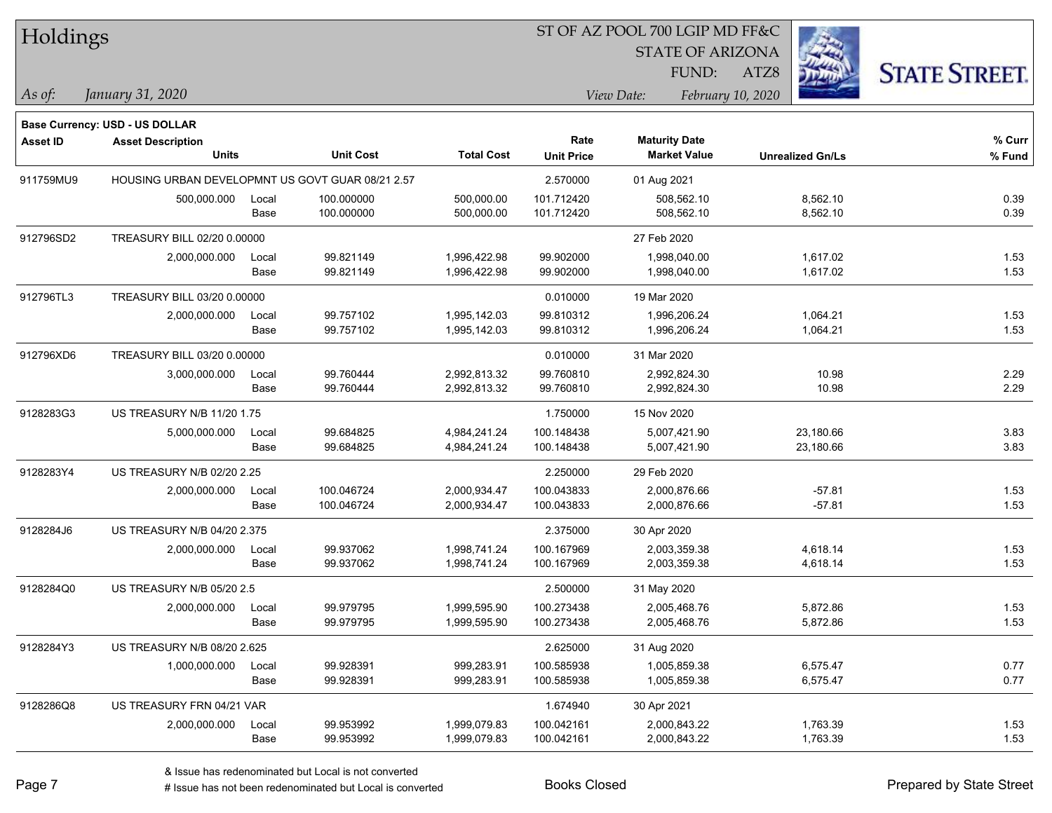| Holdings |
|----------|
|          |

STATE OF ARIZONA

ATZ8



**Base Currency: USD - US DOLLAR**

*January 31, 2020 As of: View Date: February 10, 2020* FUND:

| <b>Asset ID</b> | <b>Asset Description</b><br><b>Units</b>         |                             | <b>Unit Cost</b>         | <b>Total Cost</b>            | Rate<br><b>Unit Price</b> | <b>Maturity Date</b><br><b>Market Value</b> | <b>Unrealized Gn/Ls</b> | % Curr<br>% Fund |
|-----------------|--------------------------------------------------|-----------------------------|--------------------------|------------------------------|---------------------------|---------------------------------------------|-------------------------|------------------|
| 911759MU9       | HOUSING URBAN DEVELOPMNT US GOVT GUAR 08/21 2.57 |                             |                          |                              | 2.570000                  | 01 Aug 2021                                 |                         |                  |
|                 | 500,000.000                                      | Local<br>Base               | 100.000000<br>100.000000 | 500,000.00<br>500,000.00     | 101.712420<br>101.712420  | 508,562.10<br>508,562.10                    | 8,562.10<br>8,562.10    | 0.39<br>0.39     |
| 912796SD2       | TREASURY BILL 02/20 0.00000                      |                             |                          |                              |                           | 27 Feb 2020                                 |                         |                  |
|                 | 2,000,000.000                                    | Local<br>Base               | 99.821149<br>99.821149   | 1,996,422.98<br>1,996,422.98 | 99.902000<br>99.902000    | 1,998,040.00<br>1,998,040.00                | 1,617.02<br>1,617.02    | 1.53<br>1.53     |
| 912796TL3       |                                                  | TREASURY BILL 03/20 0.00000 |                          |                              | 0.010000                  | 19 Mar 2020                                 |                         |                  |
|                 | 2,000,000.000                                    | Local<br>Base               | 99.757102<br>99.757102   | 1,995,142.03<br>1,995,142.03 | 99.810312<br>99.810312    | 1,996,206.24<br>1,996,206.24                | 1,064.21<br>1,064.21    | 1.53<br>1.53     |
| 912796XD6       | TREASURY BILL 03/20 0.00000                      |                             |                          |                              | 0.010000                  | 31 Mar 2020                                 |                         |                  |
|                 | 3,000,000.000                                    | Local<br>Base               | 99.760444<br>99.760444   | 2,992,813.32<br>2,992,813.32 | 99.760810<br>99.760810    | 2,992,824.30<br>2,992,824.30                | 10.98<br>10.98          | 2.29<br>2.29     |
| 9128283G3       | US TREASURY N/B 11/20 1.75                       |                             |                          |                              | 1.750000                  | 15 Nov 2020                                 |                         |                  |
|                 | 5,000,000.000                                    | Local<br>Base               | 99.684825<br>99.684825   | 4,984,241.24<br>4,984,241.24 | 100.148438<br>100.148438  | 5,007,421.90<br>5,007,421.90                | 23,180.66<br>23,180.66  | 3.83<br>3.83     |
| 9128283Y4       | <b>US TREASURY N/B 02/20 2.25</b>                |                             |                          |                              | 2.250000                  | 29 Feb 2020                                 |                         |                  |
|                 | 2,000,000.000                                    | Local<br>Base               | 100.046724<br>100.046724 | 2,000,934.47<br>2,000,934.47 | 100.043833<br>100.043833  | 2,000,876.66<br>2,000,876.66                | $-57.81$<br>$-57.81$    | 1.53<br>1.53     |
| 9128284J6       | US TREASURY N/B 04/20 2.375                      |                             |                          |                              | 2.375000                  | 30 Apr 2020                                 |                         |                  |
|                 | 2,000,000.000                                    | Local<br>Base               | 99.937062<br>99.937062   | 1,998,741.24<br>1,998,741.24 | 100.167969<br>100.167969  | 2,003,359.38<br>2,003,359.38                | 4,618.14<br>4,618.14    | 1.53<br>1.53     |
| 9128284Q0       | US TREASURY N/B 05/20 2.5                        |                             |                          |                              | 2.500000                  | 31 May 2020                                 |                         |                  |
|                 | 2,000,000.000                                    | Local<br>Base               | 99.979795<br>99.979795   | 1,999,595.90<br>1,999,595.90 | 100.273438<br>100.273438  | 2,005,468.76<br>2,005,468.76                | 5,872.86<br>5,872.86    | 1.53<br>1.53     |
| 9128284Y3       | US TREASURY N/B 08/20 2.625                      |                             |                          |                              | 2.625000                  | 31 Aug 2020                                 |                         |                  |
|                 | 1,000,000.000                                    | Local<br>Base               | 99.928391<br>99.928391   | 999,283.91<br>999,283.91     | 100.585938<br>100.585938  | 1,005,859.38<br>1,005,859.38                | 6,575.47<br>6,575.47    | 0.77<br>0.77     |
| 9128286Q8       | US TREASURY FRN 04/21 VAR                        |                             |                          |                              | 1.674940                  | 30 Apr 2021                                 |                         |                  |
|                 | 2,000,000.000                                    | Local<br>Base               | 99.953992<br>99.953992   | 1,999,079.83<br>1,999,079.83 | 100.042161<br>100.042161  | 2,000,843.22<br>2,000,843.22                | 1,763.39<br>1,763.39    | 1.53<br>1.53     |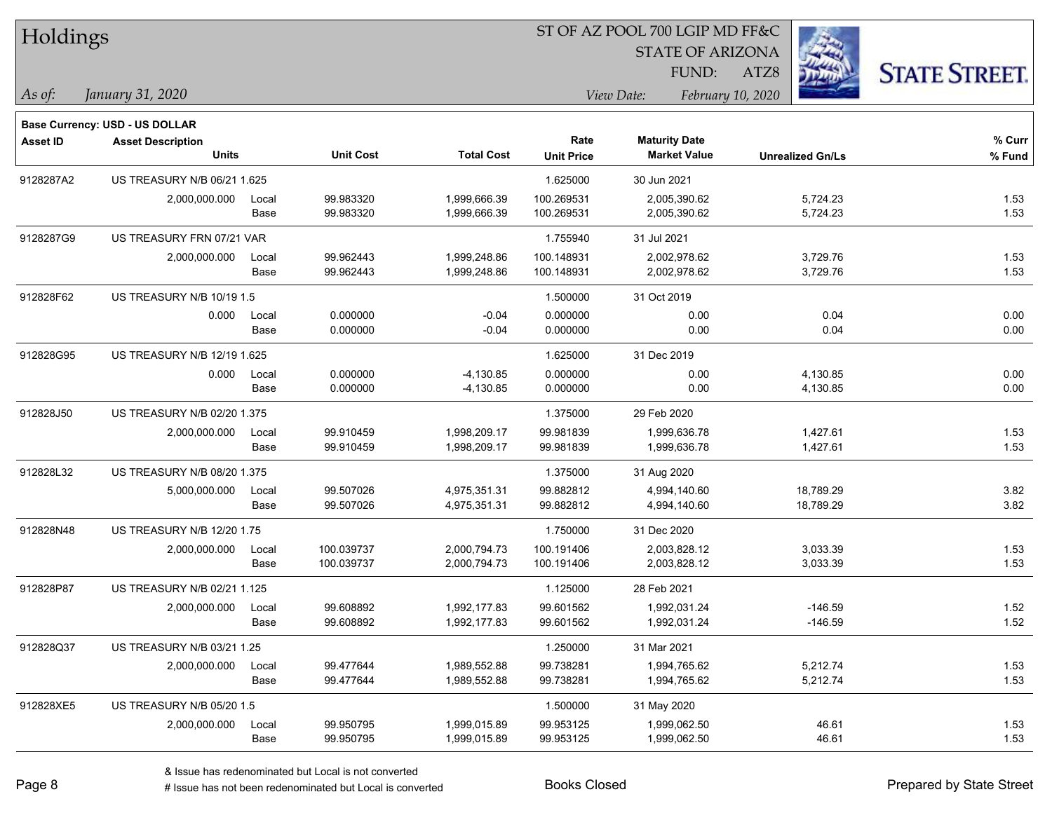| Holdings        |                                          |       |                  |                   |                           | ST OF AZ POOL 700 LGIP MD FF&C              |                         |                      |  |  |
|-----------------|------------------------------------------|-------|------------------|-------------------|---------------------------|---------------------------------------------|-------------------------|----------------------|--|--|
|                 |                                          |       |                  |                   |                           | <b>STATE OF ARIZONA</b>                     |                         |                      |  |  |
|                 |                                          |       |                  |                   |                           | FUND:                                       | ATZ8                    | <b>STATE STREET.</b> |  |  |
| $\vert$ As of:  | January 31, 2020                         |       |                  |                   |                           | View Date:                                  | February 10, 2020       |                      |  |  |
|                 |                                          |       |                  |                   |                           |                                             |                         |                      |  |  |
|                 | Base Currency: USD - US DOLLAR           |       |                  |                   |                           |                                             |                         |                      |  |  |
| <b>Asset ID</b> | <b>Asset Description</b><br><b>Units</b> |       | <b>Unit Cost</b> | <b>Total Cost</b> | Rate<br><b>Unit Price</b> | <b>Maturity Date</b><br><b>Market Value</b> | <b>Unrealized Gn/Ls</b> | $%$ Curr<br>% Fund   |  |  |
| 9128287A2       | US TREASURY N/B 06/21 1.625              |       |                  |                   | 1.625000                  | 30 Jun 2021                                 |                         |                      |  |  |
|                 | 2,000,000.000                            | Local | 99.983320        | 1,999,666.39      | 100.269531                | 2,005,390.62                                | 5,724.23                | 1.53                 |  |  |
|                 |                                          | Base  | 99.983320        | 1,999,666.39      | 100.269531                | 2,005,390.62                                | 5,724.23                | 1.53                 |  |  |
| 9128287G9       | US TREASURY FRN 07/21 VAR                |       |                  |                   | 1.755940                  | 31 Jul 2021                                 |                         |                      |  |  |
|                 | 2,000,000.000                            | Local | 99.962443        | 1,999,248.86      | 100.148931                | 2,002,978.62                                | 3,729.76                | 1.53                 |  |  |
|                 |                                          | Base  | 99.962443        | 1,999,248.86      | 100.148931                | 2,002,978.62                                | 3,729.76                | 1.53                 |  |  |
| 912828F62       | US TREASURY N/B 10/19 1.5                |       |                  |                   | 1.500000                  | 31 Oct 2019                                 |                         |                      |  |  |
|                 | 0.000                                    | Local | 0.000000         | $-0.04$           | 0.000000                  | 0.00                                        | 0.04                    | 0.00                 |  |  |
|                 |                                          | Base  | 0.000000         | $-0.04$           | 0.000000                  | 0.00                                        | 0.04                    | 0.00                 |  |  |
| 912828G95       | US TREASURY N/B 12/19 1.625              |       |                  |                   | 1.625000                  | 31 Dec 2019                                 |                         |                      |  |  |
|                 | 0.000                                    | Local | 0.000000         | $-4,130.85$       | 0.000000                  | 0.00                                        | 4,130.85                | 0.00                 |  |  |
|                 |                                          | Base  | 0.000000         | $-4,130.85$       | 0.000000                  | 0.00                                        | 4,130.85                | 0.00                 |  |  |
| 912828J50       | US TREASURY N/B 02/20 1.375              |       |                  |                   | 1.375000                  | 29 Feb 2020                                 |                         |                      |  |  |
|                 | 2,000,000.000                            | Local | 99.910459        | 1,998,209.17      | 99.981839                 | 1,999,636.78                                | 1,427.61                | 1.53                 |  |  |
|                 |                                          | Base  | 99.910459        | 1,998,209.17      | 99.981839                 | 1,999,636.78                                | 1,427.61                | 1.53                 |  |  |
| 912828L32       | US TREASURY N/B 08/20 1.375              |       |                  |                   | 1.375000                  | 31 Aug 2020                                 |                         |                      |  |  |
|                 | 5,000,000.000                            | Local | 99.507026        | 4,975,351.31      | 99.882812                 | 4,994,140.60                                | 18,789.29               | 3.82                 |  |  |
|                 |                                          | Base  | 99.507026        | 4,975,351.31      | 99.882812                 | 4,994,140.60                                | 18,789.29               | 3.82                 |  |  |
| 912828N48       | US TREASURY N/B 12/20 1.75               |       |                  |                   | 1.750000                  | 31 Dec 2020                                 |                         |                      |  |  |
|                 | 2,000,000.000                            | Local | 100.039737       | 2,000,794.73      | 100.191406                | 2,003,828.12                                | 3,033.39                | 1.53                 |  |  |
|                 |                                          | Base  | 100.039737       | 2,000,794.73      | 100.191406                | 2,003,828.12                                | 3,033.39                | 1.53                 |  |  |
| 912828P87       | US TREASURY N/B 02/21 1.125              |       |                  |                   | 1.125000                  | 28 Feb 2021                                 |                         |                      |  |  |
|                 | 2,000,000.000                            | Local | 99.608892        | 1,992,177.83      | 99.601562                 | 1,992,031.24                                | $-146.59$               | 1.52                 |  |  |
|                 |                                          | Base  | 99.608892        | 1,992,177.83      | 99.601562                 | 1,992,031.24                                | $-146.59$               | 1.52                 |  |  |
| 912828Q37       | US TREASURY N/B 03/21 1.25               |       |                  |                   | 1.250000                  | 31 Mar 2021                                 |                         |                      |  |  |
|                 | 2,000,000.000                            | Local | 99.477644        | 1,989,552.88      | 99.738281                 | 1,994,765.62                                | 5,212.74                | 1.53                 |  |  |
|                 |                                          | Base  | 99.477644        | 1,989,552.88      | 99.738281                 | 1,994,765.62                                | 5,212.74                | 1.53                 |  |  |
| 912828XE5       | US TREASURY N/B 05/20 1.5                |       |                  |                   | 1.500000                  | 31 May 2020                                 |                         |                      |  |  |
|                 | 2,000,000.000                            | Local | 99.950795        | 1,999,015.89      | 99.953125                 | 1,999,062.50                                | 46.61                   | 1.53                 |  |  |
|                 |                                          | Base  | 99.950795        | 1,999,015.89      | 99.953125                 | 1,999,062.50                                | 46.61                   | 1.53                 |  |  |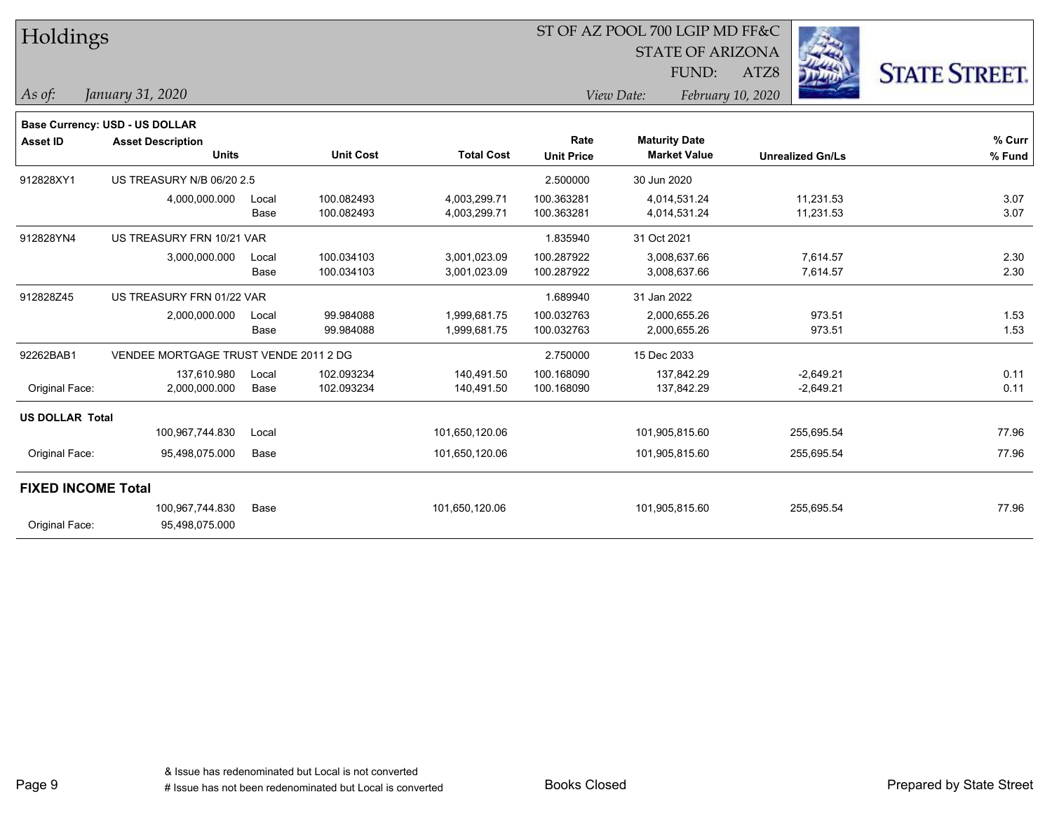| Holdings |
|----------|
|----------|

STATE OF ARIZONA

FUND:

ATZ8



*As of: View Date: February 10, 2020*

| As of: | January 31, 2020 |  |
|--------|------------------|--|
|        |                  |  |

|                           | <b>Base Currency: USD - US DOLLAR</b> |       |                  |                   |                   |                      |                         |          |
|---------------------------|---------------------------------------|-------|------------------|-------------------|-------------------|----------------------|-------------------------|----------|
| <b>Asset ID</b>           | <b>Asset Description</b>              |       |                  |                   | Rate              | <b>Maturity Date</b> |                         | $%$ Curr |
|                           | <b>Units</b>                          |       | <b>Unit Cost</b> | <b>Total Cost</b> | <b>Unit Price</b> | <b>Market Value</b>  | <b>Unrealized Gn/Ls</b> | % Fund   |
| 912828XY1                 | <b>US TREASURY N/B 06/20 2.5</b>      |       |                  |                   | 2.500000          | 30 Jun 2020          |                         |          |
|                           | 4,000,000.000                         | Local | 100.082493       | 4,003,299.71      | 100.363281        | 4,014,531.24         | 11,231.53               | 3.07     |
|                           |                                       | Base  | 100.082493       | 4,003,299.71      | 100.363281        | 4,014,531.24         | 11,231.53               | 3.07     |
| 912828YN4                 | US TREASURY FRN 10/21 VAR             |       |                  |                   | 1.835940          | 31 Oct 2021          |                         |          |
|                           | 3,000,000.000                         | Local | 100.034103       | 3,001,023.09      | 100.287922        | 3,008,637.66         | 7,614.57                | 2.30     |
|                           |                                       | Base  | 100.034103       | 3,001,023.09      | 100.287922        | 3,008,637.66         | 7,614.57                | 2.30     |
| 912828Z45                 | US TREASURY FRN 01/22 VAR             |       |                  |                   | 1.689940          | 31 Jan 2022          |                         |          |
|                           | 2,000,000.000                         | Local | 99.984088        | 1,999,681.75      | 100.032763        | 2,000,655.26         | 973.51                  | 1.53     |
|                           |                                       | Base  | 99.984088        | 1,999,681.75      | 100.032763        | 2,000,655.26         | 973.51                  | 1.53     |
| 92262BAB1                 | VENDEE MORTGAGE TRUST VENDE 2011 2 DG |       |                  |                   | 2.750000          | 15 Dec 2033          |                         |          |
|                           | 137,610.980                           | Local | 102.093234       | 140,491.50        | 100.168090        | 137,842.29           | $-2,649.21$             | 0.11     |
| Original Face:            | 2,000,000.000                         | Base  | 102.093234       | 140,491.50        | 100.168090        | 137,842.29           | $-2,649.21$             | 0.11     |
| <b>US DOLLAR Total</b>    |                                       |       |                  |                   |                   |                      |                         |          |
|                           | 100,967,744.830                       | Local |                  | 101,650,120.06    |                   | 101,905,815.60       | 255,695.54              | 77.96    |
| Original Face:            | 95,498,075.000                        | Base  |                  | 101,650,120.06    |                   | 101,905,815.60       | 255,695.54              | 77.96    |
| <b>FIXED INCOME Total</b> |                                       |       |                  |                   |                   |                      |                         |          |
|                           | 100,967,744.830                       | Base  |                  | 101,650,120.06    |                   | 101,905,815.60       | 255,695.54              | 77.96    |
| Original Face:            | 95,498,075.000                        |       |                  |                   |                   |                      |                         |          |
|                           |                                       |       |                  |                   |                   |                      |                         |          |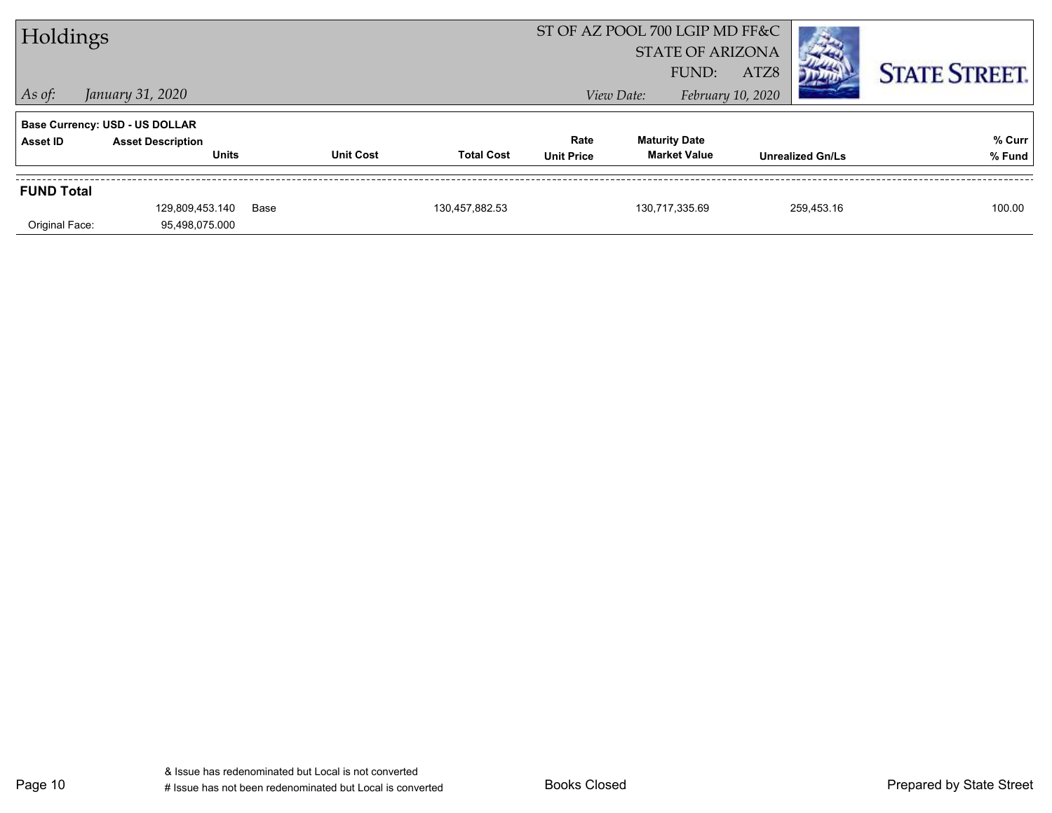| Holdings          |                                       |      |                  | ST OF AZ POOL 700 LGIP MD FF&C         |                         |                   |                         |                      |
|-------------------|---------------------------------------|------|------------------|----------------------------------------|-------------------------|-------------------|-------------------------|----------------------|
|                   |                                       |      |                  |                                        | <b>STATE OF ARIZONA</b> |                   |                         |                      |
|                   |                                       |      |                  |                                        | FUND:                   | ATZ8              |                         | <b>STATE STREET.</b> |
| $\vert$ As of:    | January 31, 2020                      |      |                  |                                        | View Date:              | February 10, 2020 |                         |                      |
|                   | <b>Base Currency: USD - US DOLLAR</b> |      |                  |                                        |                         |                   |                         |                      |
| Asset ID          | <b>Asset Description</b>              |      |                  | Rate                                   | <b>Maturity Date</b>    |                   |                         | % Curr               |
|                   | <b>Units</b>                          |      | <b>Unit Cost</b> | <b>Total Cost</b><br><b>Unit Price</b> | <b>Market Value</b>     |                   | <b>Unrealized Gn/Ls</b> | % Fund               |
| <b>FUND Total</b> |                                       |      |                  |                                        |                         |                   |                         |                      |
|                   | 129,809,453.140                       | Base | 130,457,882.53   |                                        | 130,717,335.69          |                   | 259,453.16              | 100.00               |
| Original Face:    | 95,498,075.000                        |      |                  |                                        |                         |                   |                         |                      |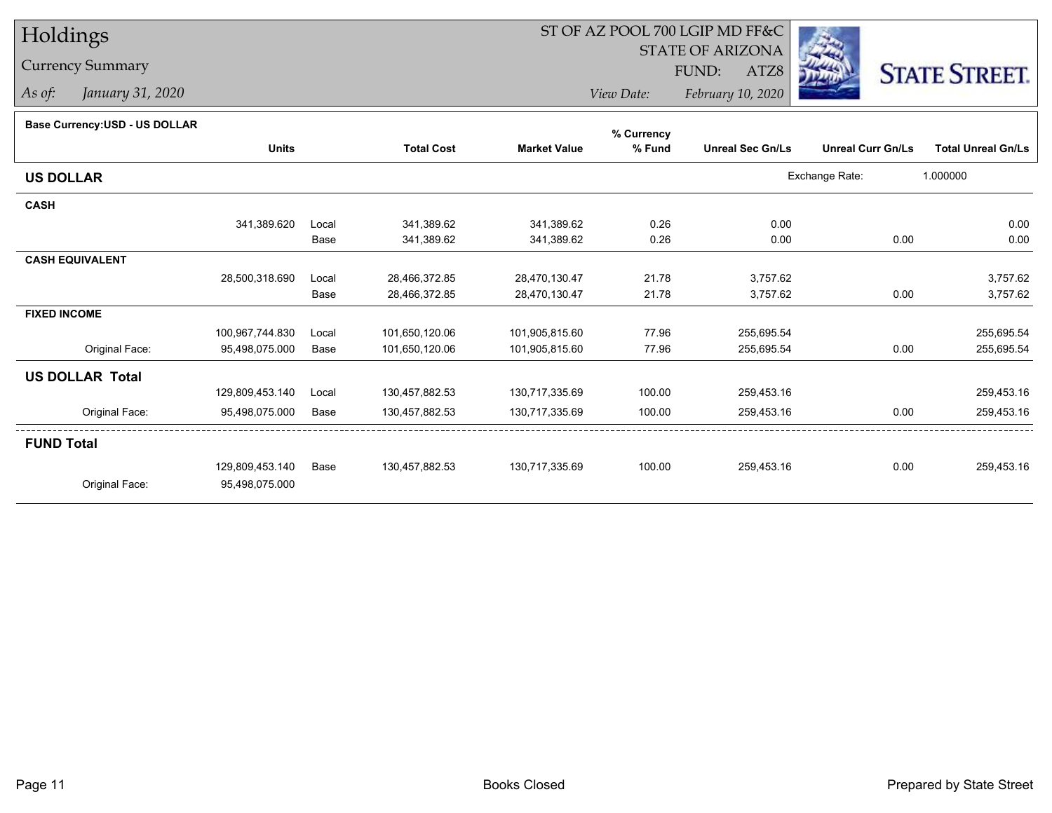### Currency Summary

*As of: January 31, 2020*

## ST OF AZ POOL 700 LGIP MD FF&C

STATE OF ARIZONA

ATZ8



*View Date: February 10, 2020*FUND:

#### **Base Currency:USD - US DOLLAR**

|                        | <b>Units</b>    |       | <b>Total Cost</b> | <b>Market Value</b> | % Fund | <b>Unreal Sec Gn/Ls</b> | <b>Unreal Curr Gn/Ls</b> | <b>Total Unreal Gn/Ls</b> |  |
|------------------------|-----------------|-------|-------------------|---------------------|--------|-------------------------|--------------------------|---------------------------|--|
| <b>US DOLLAR</b>       |                 |       |                   |                     |        |                         | Exchange Rate:           | 1.000000                  |  |
| <b>CASH</b>            |                 |       |                   |                     |        |                         |                          |                           |  |
|                        | 341,389.620     | Local | 341,389.62        | 341,389.62          | 0.26   | 0.00                    |                          | 0.00                      |  |
|                        |                 | Base  | 341,389.62        | 341,389.62          | 0.26   | 0.00                    | 0.00                     | 0.00                      |  |
| <b>CASH EQUIVALENT</b> |                 |       |                   |                     |        |                         |                          |                           |  |
|                        | 28,500,318.690  | Local | 28,466,372.85     | 28,470,130.47       | 21.78  | 3,757.62                |                          | 3,757.62                  |  |
|                        |                 | Base  | 28,466,372.85     | 28,470,130.47       | 21.78  | 3,757.62                | 0.00                     | 3,757.62                  |  |
| <b>FIXED INCOME</b>    |                 |       |                   |                     |        |                         |                          |                           |  |
|                        | 100,967,744.830 | Local | 101,650,120.06    | 101,905,815.60      | 77.96  | 255,695.54              |                          | 255,695.54                |  |
| Original Face:         | 95,498,075.000  | Base  | 101,650,120.06    | 101,905,815.60      | 77.96  | 255,695.54              | 0.00                     | 255,695.54                |  |
| <b>US DOLLAR Total</b> |                 |       |                   |                     |        |                         |                          |                           |  |
|                        | 129,809,453.140 | Local | 130,457,882.53    | 130,717,335.69      | 100.00 | 259,453.16              |                          | 259,453.16                |  |
| Original Face:         | 95,498,075.000  | Base  | 130,457,882.53    | 130,717,335.69      | 100.00 | 259,453.16              | 0.00                     | 259,453.16                |  |
| <b>FUND Total</b>      |                 |       |                   |                     |        |                         |                          |                           |  |
|                        | 129,809,453.140 | Base  | 130,457,882.53    | 130,717,335.69      | 100.00 | 259,453.16              | 0.00                     | 259,453.16                |  |
| Original Face:         | 95,498,075.000  |       |                   |                     |        |                         |                          |                           |  |
|                        |                 |       |                   |                     |        |                         |                          |                           |  |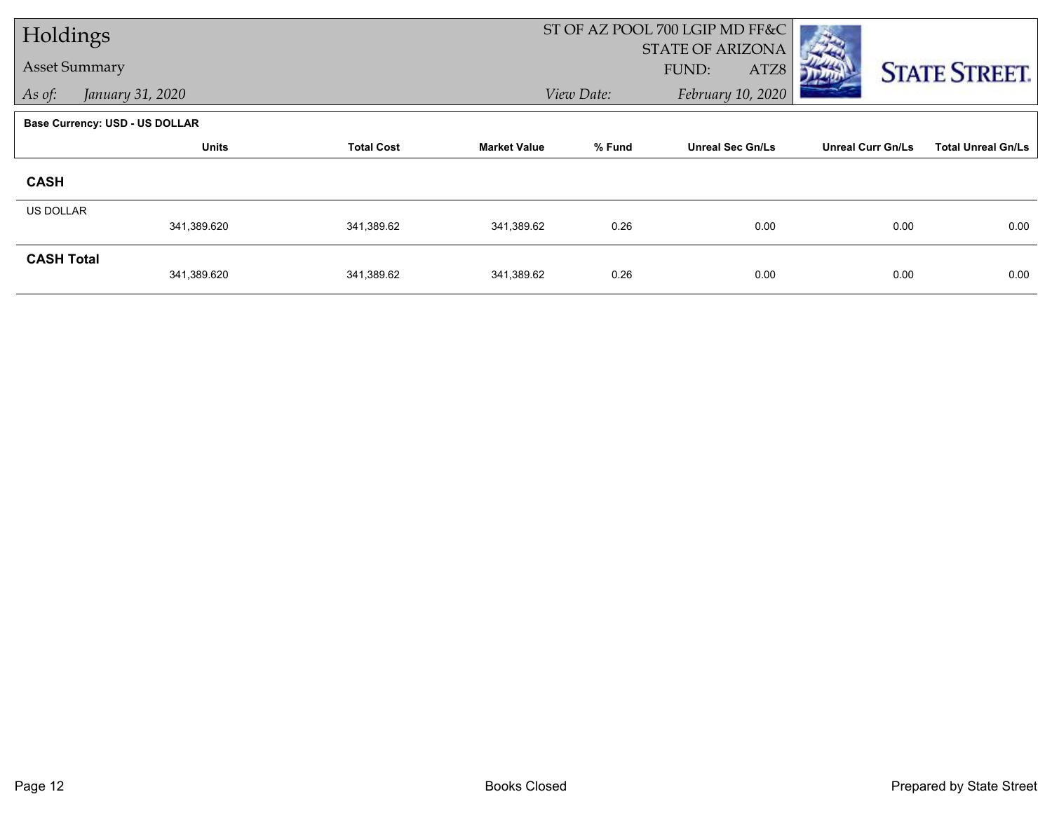|                      | Holdings                              |                   |                     | ST OF AZ POOL 700 LGIP MD FF&C |                         |                          |                           |
|----------------------|---------------------------------------|-------------------|---------------------|--------------------------------|-------------------------|--------------------------|---------------------------|
|                      |                                       |                   |                     |                                | STATE OF ARIZONA        |                          |                           |
| <b>Asset Summary</b> |                                       |                   |                     |                                | FUND:<br>ATZ8           |                          | <b>STATE STREET.</b>      |
| As of:               | January 31, 2020                      |                   |                     | View Date:                     | February 10, 2020       |                          |                           |
|                      | <b>Base Currency: USD - US DOLLAR</b> |                   |                     |                                |                         |                          |                           |
|                      | <b>Units</b>                          | <b>Total Cost</b> | <b>Market Value</b> | % Fund                         | <b>Unreal Sec Gn/Ls</b> | <b>Unreal Curr Gn/Ls</b> | <b>Total Unreal Gn/Ls</b> |
| <b>CASH</b>          |                                       |                   |                     |                                |                         |                          |                           |
| US DOLLAR            |                                       |                   |                     |                                |                         |                          |                           |
|                      | 341,389.620                           | 341,389.62        | 341,389.62          | 0.26                           | 0.00                    | 0.00                     | 0.00                      |
| <b>CASH Total</b>    |                                       |                   |                     |                                |                         |                          |                           |
|                      | 341,389.620                           | 341,389.62        | 341,389.62          | 0.26                           | 0.00                    | 0.00                     | 0.00                      |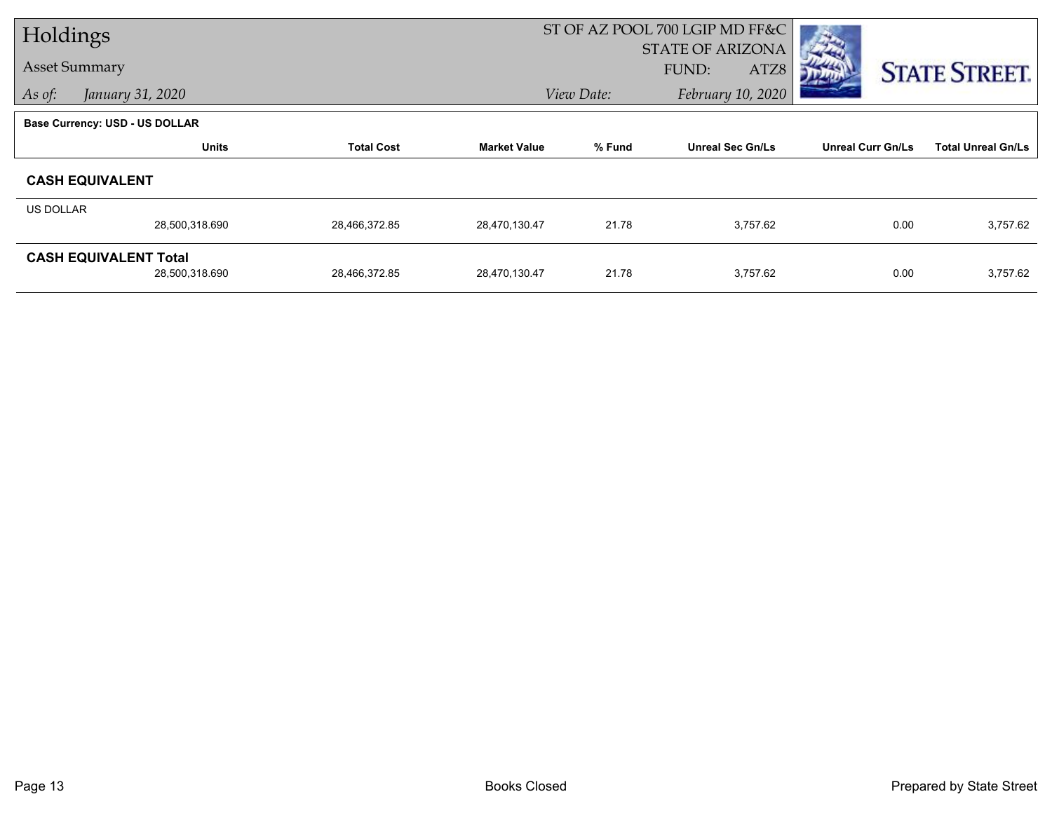| Holdings             |                                       |                   |                     | ST OF AZ POOL 700 LGIP MD FF&C |                         |                          |                           |
|----------------------|---------------------------------------|-------------------|---------------------|--------------------------------|-------------------------|--------------------------|---------------------------|
|                      |                                       |                   |                     |                                | <b>STATE OF ARIZONA</b> |                          |                           |
| <b>Asset Summary</b> |                                       |                   |                     |                                | FUND:<br>ATZ8           |                          | <b>STATE STREET.</b>      |
| As of:               | January 31, 2020                      |                   |                     | View Date:                     | February 10, 2020       |                          |                           |
|                      | <b>Base Currency: USD - US DOLLAR</b> |                   |                     |                                |                         |                          |                           |
|                      | <b>Units</b>                          | <b>Total Cost</b> | <b>Market Value</b> | % Fund                         | <b>Unreal Sec Gn/Ls</b> | <b>Unreal Curr Gn/Ls</b> | <b>Total Unreal Gn/Ls</b> |
|                      | <b>CASH EQUIVALENT</b>                |                   |                     |                                |                         |                          |                           |
| <b>US DOLLAR</b>     |                                       |                   |                     |                                |                         |                          |                           |
|                      | 28,500,318.690                        | 28,466,372.85     | 28,470,130.47       | 21.78                          | 3,757.62                | 0.00                     | 3,757.62                  |
|                      | <b>CASH EQUIVALENT Total</b>          |                   |                     |                                |                         |                          |                           |
|                      | 28,500,318.690                        | 28,466,372.85     | 28,470,130.47       | 21.78                          | 3,757.62                | 0.00                     | 3,757.62                  |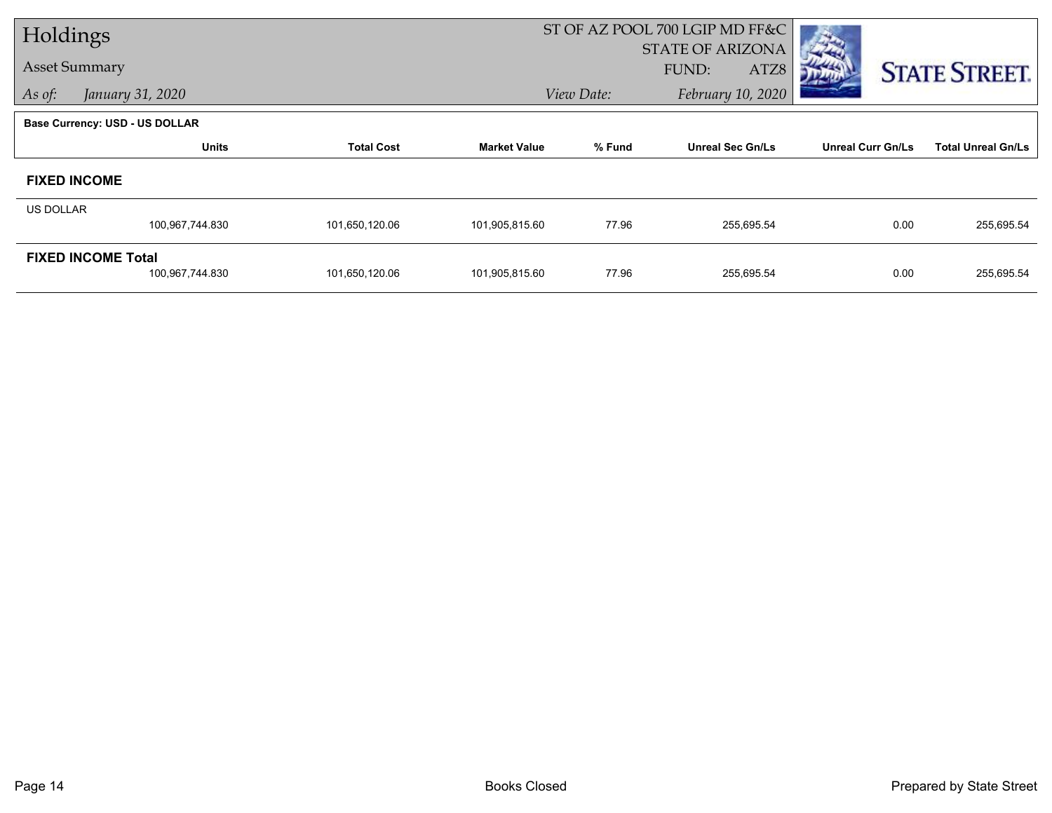| Holdings             |                                       |                   |                     | ST OF AZ POOL 700 LGIP MD FF&C |                         |                          |                           |
|----------------------|---------------------------------------|-------------------|---------------------|--------------------------------|-------------------------|--------------------------|---------------------------|
|                      |                                       |                   |                     |                                | <b>STATE OF ARIZONA</b> |                          |                           |
| <b>Asset Summary</b> |                                       |                   |                     |                                | FUND:<br>ATZ8           |                          | <b>STATE STREET.</b>      |
| As of:               | January 31, 2020                      |                   |                     | View Date:                     | February 10, 2020       |                          |                           |
|                      | <b>Base Currency: USD - US DOLLAR</b> |                   |                     |                                |                         |                          |                           |
|                      | <b>Units</b>                          | <b>Total Cost</b> | <b>Market Value</b> | % Fund                         | <b>Unreal Sec Gn/Ls</b> | <b>Unreal Curr Gn/Ls</b> | <b>Total Unreal Gn/Ls</b> |
|                      | <b>FIXED INCOME</b>                   |                   |                     |                                |                         |                          |                           |
| <b>US DOLLAR</b>     |                                       |                   |                     |                                |                         |                          |                           |
|                      | 100,967,744.830                       | 101,650,120.06    | 101,905,815.60      | 77.96                          | 255,695.54              | 0.00                     | 255,695.54                |
|                      | <b>FIXED INCOME Total</b>             |                   |                     |                                |                         |                          |                           |
|                      | 100,967,744.830                       | 101,650,120.06    | 101,905,815.60      | 77.96                          | 255,695.54              | 0.00                     | 255,695.54                |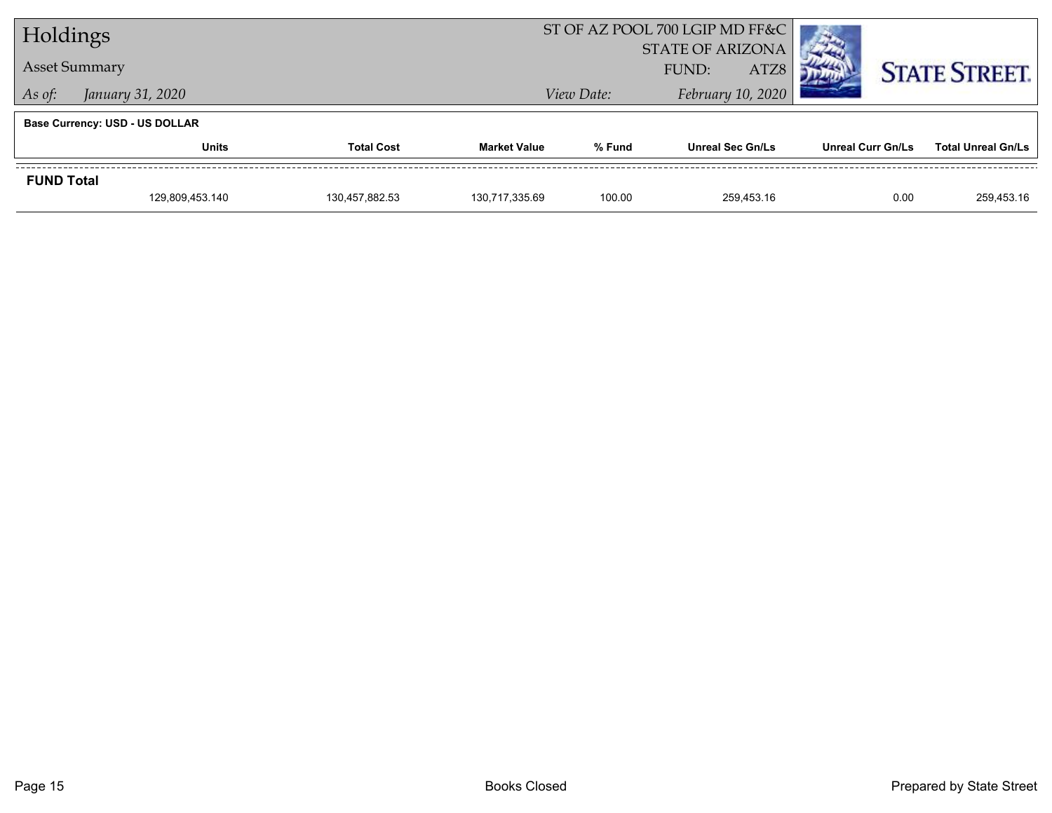|                      | Holdings                              |                   |                     |            | ST OF AZ POOL 700 LGIP MD FF&C |                          |                           |
|----------------------|---------------------------------------|-------------------|---------------------|------------|--------------------------------|--------------------------|---------------------------|
|                      |                                       |                   |                     |            | <b>STATE OF ARIZONA</b>        |                          |                           |
| <b>Asset Summary</b> |                                       |                   |                     |            | ATZ8<br>FUND:                  |                          | <b>STATE STREET.</b>      |
| As of:               | January 31, 2020                      |                   |                     | View Date: | February 10, 2020              |                          |                           |
|                      | <b>Base Currency: USD - US DOLLAR</b> |                   |                     |            |                                |                          |                           |
|                      | Units                                 | <b>Total Cost</b> | <b>Market Value</b> | % Fund     | <b>Unreal Sec Gn/Ls</b>        | <b>Unreal Curr Gn/Ls</b> | <b>Total Unreal Gn/Ls</b> |
| <b>FUND Total</b>    |                                       |                   |                     |            |                                |                          |                           |
|                      | 129,809,453.140                       | 130.457.882.53    | 130,717,335.69      | 100.00     | 259.453.16                     | 0.00                     | 259,453.16                |